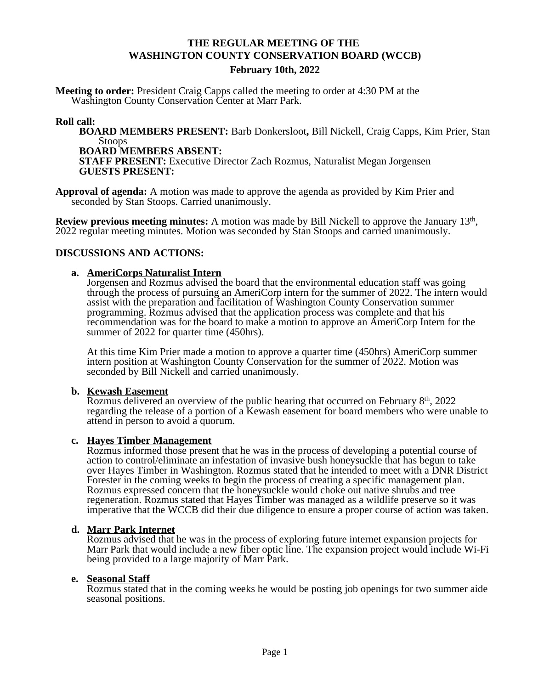# **THE REGULAR MEETING OF THE WASHINGTON COUNTY CONSERVATION BOARD (WCCB)**

#### **February 10th, 2022**

**Meeting to order:** President Craig Capps called the meeting to order at 4:30 PM at the Washington County Conservation Center at Marr Park.

## **Roll call:**

**BOARD MEMBERS PRESENT:** Barb Donkersloot**,** Bill Nickell, Craig Capps, Kim Prier, Stan Stoops **BOARD MEMBERS ABSENT:**

**STAFF PRESENT:** Executive Director Zach Rozmus, Naturalist Megan Jorgensen **GUESTS PRESENT:**

**Approval of agenda:** A motion was made to approve the agenda as provided by Kim Prier and seconded by Stan Stoops. Carried unanimously.

**Review previous meeting minutes:** A motion was made by Bill Nickell to approve the January 13<sup>th</sup>, 2022 regular meeting minutes. Motion was seconded by Stan Stoops and carried unanimously.

## **DISCUSSIONS AND ACTIONS:**

## **a. AmeriCorps Naturalist Intern**

Jorgensen and Rozmus advised the board that the environmental education staff was going through the process of pursuing an AmeriCorp intern for the summer of 2022. The intern would assist with the preparation and facilitation of Washington County Conservation summer programming. Rozmus advised that the application process was complete and that his recommendation was for the board to make a motion to approve an AmeriCorp Intern for the summer of 2022 for quarter time (450hrs).

At this time Kim Prier made a motion to approve a quarter time (450hrs) AmeriCorp summer intern position at Washington County Conservation for the summer of 2022. Motion was seconded by Bill Nickell and carried unanimously.

#### **b. Kewash Easement**

Rozmus delivered an overview of the public hearing that occurred on February  $8<sup>th</sup>$ , 2022 regarding the release of a portion of a Kewash easement for board members who were unable to attend in person to avoid a quorum.

#### **c. Hayes Timber Management**

Rozmus informed those present that he was in the process of developing a potential course of action to control/eliminate an infestation of invasive bush honeysuckle that has begun to take over Hayes Timber in Washington. Rozmus stated that he intended to meet with a DNR District Forester in the coming weeks to begin the process of creating a specific management plan. Rozmus expressed concern that the honeysuckle would choke out native shrubs and tree regeneration. Rozmus stated that Hayes Timber was managed as a wildlife preserve so it was imperative that the WCCB did their due diligence to ensure a proper course of action was taken.

#### **d. Marr Park Internet**

Rozmus advised that he was in the process of exploring future internet expansion projects for Marr Park that would include a new fiber optic line. The expansion project would include Wi-Fi being provided to a large majority of Marr Park.

#### **e. Seasonal Staff**

Rozmus stated that in the coming weeks he would be posting job openings for two summer aide seasonal positions.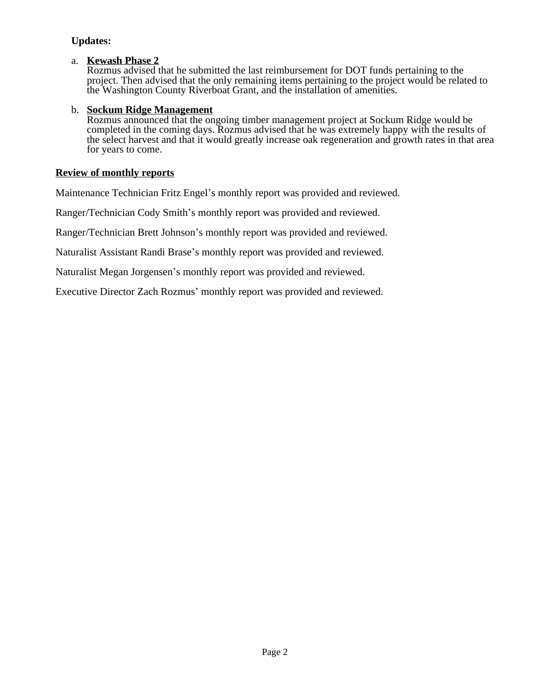# **Updates:**

## a. **Kewash Phase 2**

Rozmus advised that he submitted the last reimbursement for DOT funds pertaining to the project. Then advised that the only remaining items pertaining to the project would be related to the Washington County Riverboat Grant, and the installation of amenities.

## b. **Sockum Ridge Management**

Rozmus announced that the ongoing timber management project at Sockum Ridge would be completed in the coming days. Rozmus advised that he was extremely happy with the results of the select harvest and that it would greatly increase oak regeneration and growth rates in that area for years to come.

# **Review of monthly reports**

Maintenance Technician Fritz Engel's monthly report was provided and reviewed.

Ranger/Technician Cody Smith's monthly report was provided and reviewed.

Ranger/Technician Brett Johnson's monthly report was provided and reviewed.

Naturalist Assistant Randi Brase's monthly report was provided and reviewed.

Naturalist Megan Jorgensen's monthly report was provided and reviewed.

Executive Director Zach Rozmus' monthly report was provided and reviewed.